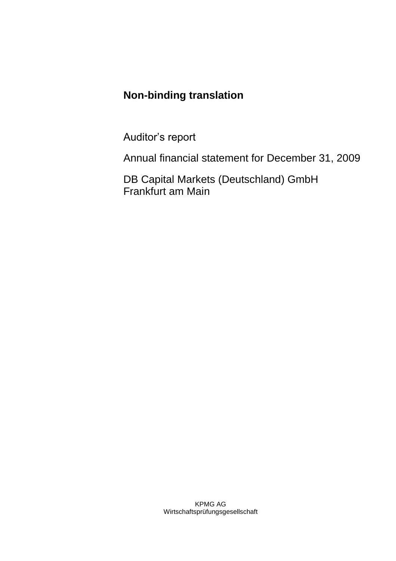# **Non-binding translation**

Auditor's report

Annual financial statement for December 31, 2009

DB Capital Markets (Deutschland) GmbH Frankfurt am Main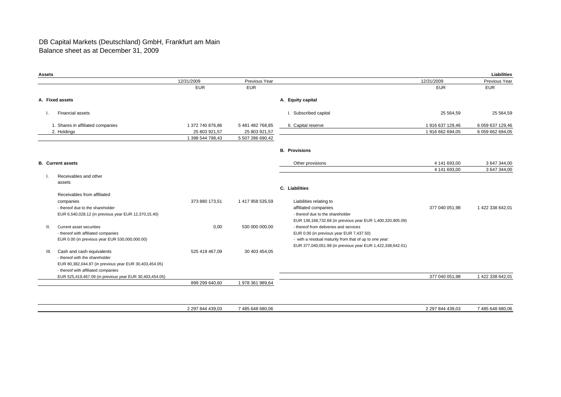#### DB Capital Markets (Deutschland) GmbH, Frankfurt am Main Balance sheet as at December 31, 2009

| <b>Assets</b> |                                                         |                  |                  |                                                            |                  | Liabilities      |
|---------------|---------------------------------------------------------|------------------|------------------|------------------------------------------------------------|------------------|------------------|
|               |                                                         | 12/31/2009       | Previous Year    |                                                            | 12/31/2009       | Previous Year    |
|               |                                                         | <b>EUR</b>       | <b>EUR</b>       |                                                            | <b>EUR</b>       | <b>EUR</b>       |
|               | A. Fixed assets                                         |                  |                  | A. Equity capital                                          |                  |                  |
|               | <b>Financial assets</b>                                 |                  |                  | I. Subscribed capital                                      | 25 5 64.59       | 25 564,59        |
|               | 1. Shares in affiliated companies                       | 1 372 740 876,86 | 5 481 482 768,85 | II. Capital reserve                                        | 1 916 637 129,46 | 6 059 637 129,46 |
|               | 2. Holdings                                             | 25 803 921,57    | 25 803 921,57    |                                                            | 1 916 662 694,05 | 6 059 662 694,05 |
|               |                                                         | 1 398 544 798,43 | 5 507 286 690,42 |                                                            |                  |                  |
|               |                                                         |                  |                  | <b>B.</b> Provisions                                       |                  |                  |
|               | <b>B.</b> Current assets                                |                  |                  | Other provisions                                           | 4 141 693,00     | 3 647 344,00     |
|               |                                                         |                  |                  |                                                            | 4 141 693,00     | 3 647 344,00     |
|               | Receivables and other                                   |                  |                  |                                                            |                  |                  |
|               | assets                                                  |                  |                  |                                                            |                  |                  |
|               |                                                         |                  |                  | C. Liabilities                                             |                  |                  |
|               | Receivables from affiliated                             |                  |                  |                                                            |                  |                  |
|               | companies                                               | 373 880 173,51   | 1 417 958 535,59 | Liabilities relating to                                    |                  |                  |
|               | - thereof due to the shareholder                        |                  |                  | affiliated companies                                       | 377 040 051.98   | 1422 338 642.01  |
|               | EUR 6,540,028.12 (in previous year EUR 12,370,15.40)    |                  |                  | - thereof due to the shareholder                           |                  |                  |
|               |                                                         |                  |                  | EUR 138,168,732.68 (in previous year EUR 1,400,320,905.09) |                  |                  |
| II.           | Current asset securities                                | 0.00             | 530 000 000,00   | - thereof from deliveries and services                     |                  |                  |
|               | - thereof with affiliated companies                     |                  |                  | EUR 0.00 (in previous year EUR 7,437.50)                   |                  |                  |
|               | EUR 0.00 (in previous year EUR 530,000,000.00)          |                  |                  | - with a residual maturity from that of up to one year:    |                  |                  |
|               |                                                         |                  |                  | EUR 377,040,051.98 (in previous year EUR 1,422,338,642.01) |                  |                  |
| III.          | Cash and cash equivalents                               | 525 419 467,09   | 30 403 454,05    |                                                            |                  |                  |
|               | - thereof with the shareholder                          |                  |                  |                                                            |                  |                  |
|               | EUR 80,382,044.87 (in previous year EUR 30,403,454.05)  |                  |                  |                                                            |                  |                  |
|               | - thereof with affiliated companies                     |                  |                  |                                                            |                  |                  |
|               | EUR 525,419,467.09 (in previous year EUR 30,403,454.05) |                  |                  |                                                            | 377 040 051,98   | 1 422 338 642.01 |
|               |                                                         | 899 299 640,60   | 1 978 361 989,64 |                                                            |                  |                  |

2 297 844 439,03 7 485 648 680,06 2 297 844 439,03 7 485 648 680,06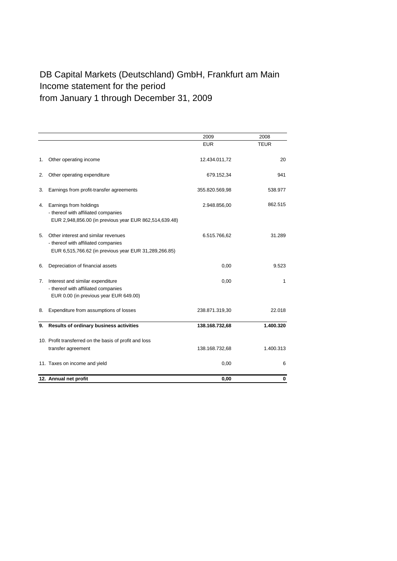## DB Capital Markets (Deutschland) GmbH, Frankfurt am Main Income statement for the period from January 1 through December 31, 2009

|    |                                                                                                                                     | 2009           | 2008        |
|----|-------------------------------------------------------------------------------------------------------------------------------------|----------------|-------------|
|    |                                                                                                                                     | <b>EUR</b>     | <b>TEUR</b> |
| 1. | Other operating income                                                                                                              | 12.434.011,72  | 20          |
| 2. | Other operating expenditure                                                                                                         | 679.152,34     | 941         |
| 3. | Earnings from profit-transfer agreements                                                                                            | 355.820.569,98 | 538.977     |
| 4. | Earnings from holdings<br>- thereof with affiliated companies<br>EUR 2,948,856.00 (in previous year EUR 862,514,639.48)             | 2.948.856,00   | 862.515     |
| 5. | Other interest and similar revenues<br>- thereof with affiliated companies<br>EUR 6,515,766.62 (in previous year EUR 31,289,266.85) | 6.515.766,62   | 31.289      |
| 6. | Depreciation of financial assets                                                                                                    | 0,00           | 9.523       |
| 7. | Interest and similar expenditure<br>- thereof with affiliated companies<br>EUR 0.00 (in previous year EUR 649.00)                   | 0,00           | 1           |
| 8. | Expenditure from assumptions of losses                                                                                              | 238.871.319,30 | 22.018      |
| 9. | Results of ordinary business activities                                                                                             | 138.168.732,68 | 1.400.320   |
|    | 10. Profit transferred on the basis of profit and loss<br>transfer agreement                                                        | 138.168.732,68 | 1.400.313   |
|    | 11. Taxes on income and yield                                                                                                       | 0,00           | 6           |
|    | 12. Annual net profit                                                                                                               | 0,00           | 0           |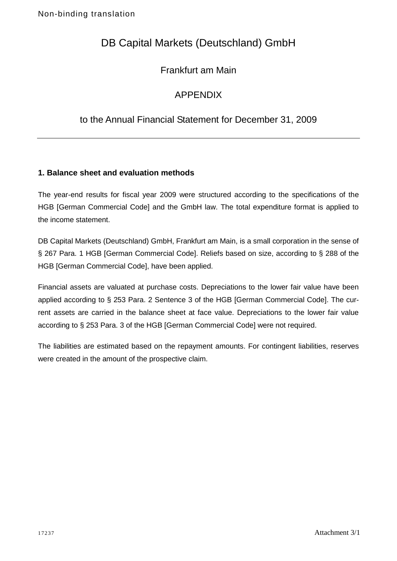# DB Capital Markets (Deutschland) GmbH

## Frankfurt am Main

### APPENDIX

### to the Annual Financial Statement for December 31, 2009

### **1. Balance sheet and evaluation methods**

The year-end results for fiscal year 2009 were structured according to the specifications of the HGB [German Commercial Code] and the GmbH law. The total expenditure format is applied to the income statement.

DB Capital Markets (Deutschland) GmbH, Frankfurt am Main, is a small corporation in the sense of § 267 Para. 1 HGB [German Commercial Code]. Reliefs based on size, according to § 288 of the HGB [German Commercial Code], have been applied.

Financial assets are valuated at purchase costs. Depreciations to the lower fair value have been applied according to § 253 Para. 2 Sentence 3 of the HGB [German Commercial Code]. The current assets are carried in the balance sheet at face value. Depreciations to the lower fair value according to § 253 Para. 3 of the HGB [German Commercial Code] were not required.

The liabilities are estimated based on the repayment amounts. For contingent liabilities, reserves were created in the amount of the prospective claim.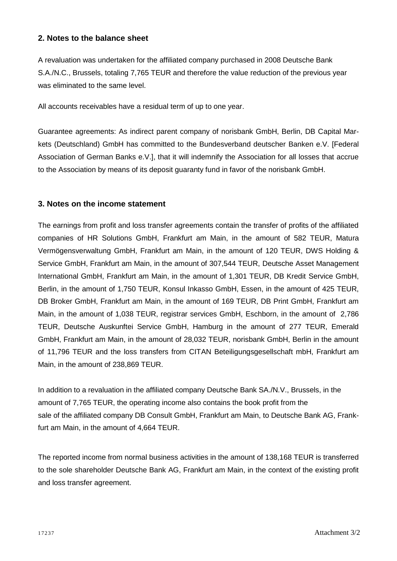#### **2. Notes to the balance sheet**

A revaluation was undertaken for the affiliated company purchased in 2008 Deutsche Bank S.A./N.C., Brussels, totaling 7,765 TEUR and therefore the value reduction of the previous year was eliminated to the same level.

All accounts receivables have a residual term of up to one year.

Guarantee agreements: As indirect parent company of norisbank GmbH, Berlin, DB Capital Markets (Deutschland) GmbH has committed to the Bundesverband deutscher Banken e.V. [Federal Association of German Banks e.V.], that it will indemnify the Association for all losses that accrue to the Association by means of its deposit guaranty fund in favor of the norisbank GmbH.

#### **3. Notes on the income statement**

The earnings from profit and loss transfer agreements contain the transfer of profits of the affiliated companies of HR Solutions GmbH, Frankfurt am Main, in the amount of 582 TEUR, Matura Vermögensverwaltung GmbH, Frankfurt am Main, in the amount of 120 TEUR, DWS Holding & Service GmbH, Frankfurt am Main, in the amount of 307,544 TEUR, Deutsche Asset Management International GmbH, Frankfurt am Main, in the amount of 1,301 TEUR, DB Kredit Service GmbH, Berlin, in the amount of 1,750 TEUR, Konsul Inkasso GmbH, Essen, in the amount of 425 TEUR, DB Broker GmbH, Frankfurt am Main, in the amount of 169 TEUR, DB Print GmbH, Frankfurt am Main, in the amount of 1,038 TEUR, registrar services GmbH, Eschborn, in the amount of 2,786 TEUR, Deutsche Auskunftei Service GmbH, Hamburg in the amount of 277 TEUR, Emerald GmbH, Frankfurt am Main, in the amount of 28,032 TEUR, norisbank GmbH, Berlin in the amount of 11,796 TEUR and the loss transfers from CITAN Beteiligungsgesellschaft mbH, Frankfurt am Main, in the amount of 238,869 TEUR.

In addition to a revaluation in the affiliated company Deutsche Bank SA./N.V., Brussels, in the amount of 7,765 TEUR, the operating income also contains the book profit from the sale of the affiliated company DB Consult GmbH, Frankfurt am Main, to Deutsche Bank AG, Frankfurt am Main, in the amount of 4,664 TEUR.

The reported income from normal business activities in the amount of 138,168 TEUR is transferred to the sole shareholder Deutsche Bank AG, Frankfurt am Main, in the context of the existing profit and loss transfer agreement.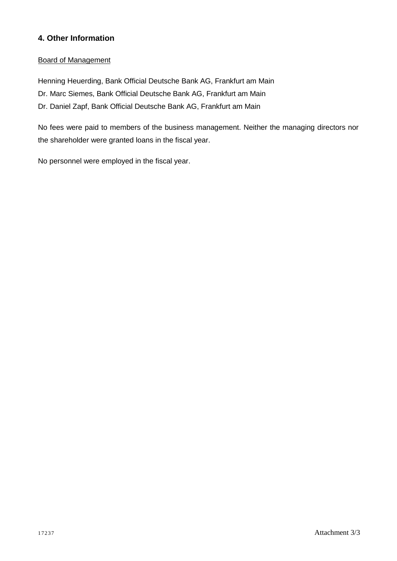### **4. Other Information**

#### Board of Management

Henning Heuerding, Bank Official Deutsche Bank AG, Frankfurt am Main

Dr. Marc Siemes, Bank Official Deutsche Bank AG, Frankfurt am Main

Dr. Daniel Zapf, Bank Official Deutsche Bank AG, Frankfurt am Main

No fees were paid to members of the business management. Neither the managing directors nor the shareholder were granted loans in the fiscal year.

No personnel were employed in the fiscal year.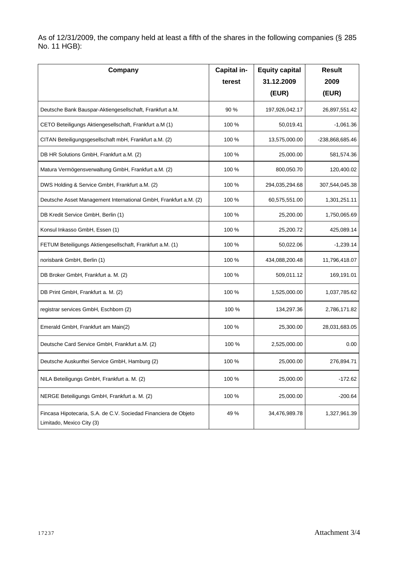As of 12/31/2009, the company held at least a fifth of the shares in the following companies (§ 285 No. 11 HGB):

| Company                                                                                      | Capital in- | <b>Equity capital</b> | <b>Result</b>   |
|----------------------------------------------------------------------------------------------|-------------|-----------------------|-----------------|
|                                                                                              | terest      | 31.12.2009            | 2009            |
|                                                                                              |             | (EUR)                 | (EUR)           |
| Deutsche Bank Bauspar-Aktiengesellschaft, Frankfurt a.M.                                     | 90 %        | 197,926,042.17        | 26,897,551.42   |
| CETO Beteiligungs Aktiengesellschaft, Frankfurt a.M (1)                                      | 100 %       | 50,019.41             | $-1,061.36$     |
| CITAN Beteiligungsgesellschaft mbH, Frankfurt a.M. (2)                                       | 100 %       | 13,575,000.00         | -238,868,685.46 |
| DB HR Solutions GmbH, Frankfurt a.M. (2)                                                     | 100 %       | 25,000.00             | 581,574.36      |
| Matura Vermögensverwaltung GmbH, Frankfurt a.M. (2)                                          | 100 %       | 800,050.70            | 120,400.02      |
| DWS Holding & Service GmbH, Frankfurt a.M. (2)                                               | 100 %       | 294,035,294.68        | 307,544,045.38  |
| Deutsche Asset Management International GmbH, Frankfurt a.M. (2)                             | 100 %       | 60,575,551.00         | 1,301,251.11    |
| DB Kredit Service GmbH, Berlin (1)                                                           | 100 %       | 25,200.00             | 1,750,065.69    |
| Konsul Inkasso GmbH, Essen (1)                                                               | 100 %       | 25,200.72             | 425,089.14      |
| FETUM Beteiligungs Aktiengesellschaft, Frankfurt a.M. (1)                                    | 100 %       | 50,022.06             | $-1,239.14$     |
| norisbank GmbH, Berlin (1)                                                                   | 100 %       | 434,088,200.48        | 11,796,418.07   |
| DB Broker GmbH, Frankfurt a. M. (2)                                                          | 100 %       | 509,011.12            | 169,191.01      |
| DB Print GmbH, Frankfurt a. M. (2)                                                           | 100 %       | 1,525,000.00          | 1,037,785.62    |
| registrar services GmbH, Eschborn (2)                                                        | 100 %       | 134,297.36            | 2,786,171.82    |
| Emerald GmbH, Frankfurt am Main(2)                                                           | 100 %       | 25,300.00             | 28,031,683.05   |
| Deutsche Card Service GmbH, Frankfurt a.M. (2)                                               | 100 %       | 2,525,000.00          | 0.00            |
| Deutsche Auskunftei Service GmbH, Hamburg (2)                                                | 100 %       | 25,000.00             | 276,894.71      |
| NILA Beteiligungs GmbH, Frankfurt a. M. (2)                                                  | 100 %       | 25,000.00             | $-172.62$       |
| NERGE Beteiligungs GmbH, Frankfurt a. M. (2)                                                 | 100 %       | 25,000.00             | $-200.64$       |
| Fincasa Hipotecaria, S.A. de C.V. Sociedad Financiera de Objeto<br>Limitado, Mexico City (3) | 49 %        | 34,476,989.78         | 1,327,961.39    |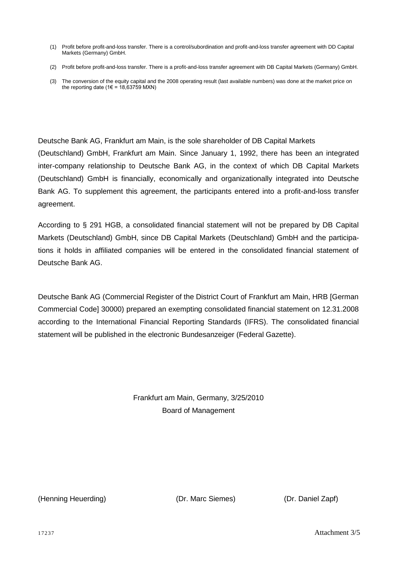- (1) Profit before profit-and-loss transfer. There is a control/subordination and profit-and-loss transfer agreement with DD Capital Markets (Germany) GmbH.
- (2) Profit before profit-and-loss transfer. There is a profit-and-loss transfer agreement with DB Capital Markets (Germany) GmbH.
- (3) The conversion of the equity capital and the 2008 operating result (last available numbers) was done at the market price on the reporting date ( $1 \in$  = 18,63759 MXN)

Deutsche Bank AG, Frankfurt am Main, is the sole shareholder of DB Capital Markets

(Deutschland) GmbH, Frankfurt am Main. Since January 1, 1992, there has been an integrated inter-company relationship to Deutsche Bank AG, in the context of which DB Capital Markets (Deutschland) GmbH is financially, economically and organizationally integrated into Deutsche Bank AG. To supplement this agreement, the participants entered into a profit-and-loss transfer agreement.

According to § 291 HGB, a consolidated financial statement will not be prepared by DB Capital Markets (Deutschland) GmbH, since DB Capital Markets (Deutschland) GmbH and the participations it holds in affiliated companies will be entered in the consolidated financial statement of Deutsche Bank AG.

Deutsche Bank AG (Commercial Register of the District Court of Frankfurt am Main, HRB [German Commercial Code] 30000) prepared an exempting consolidated financial statement on 12.31.2008 according to the International Financial Reporting Standards (IFRS). The consolidated financial statement will be published in the electronic Bundesanzeiger (Federal Gazette).

> Frankfurt am Main, Germany, 3/25/2010 Board of Management

(Henning Heuerding) (Dr. Marc Siemes) (Dr. Daniel Zapf)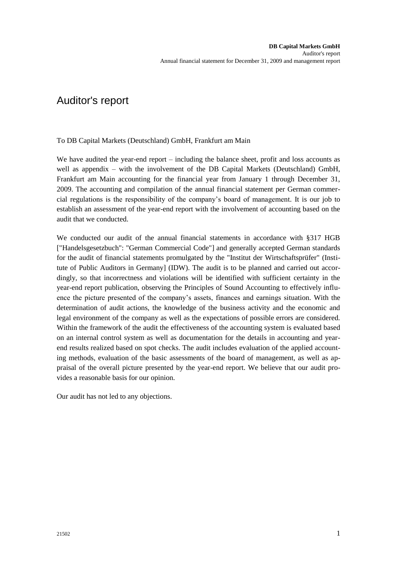## Auditor's report

To DB Capital Markets (Deutschland) GmbH, Frankfurt am Main

We have audited the year-end report – including the balance sheet, profit and loss accounts as well as appendix – with the involvement of the DB Capital Markets (Deutschland) GmbH, Frankfurt am Main accounting for the financial year from January 1 through December 31, 2009. The accounting and compilation of the annual financial statement per German commercial regulations is the responsibility of the company's board of management. It is our job to establish an assessment of the year-end report with the involvement of accounting based on the audit that we conducted.

We conducted our audit of the annual financial statements in accordance with §317 HGB ["Handelsgesetzbuch": "German Commercial Code"] and generally accepted German standards for the audit of financial statements promulgated by the "Institut der Wirtschaftsprüfer" (Institute of Public Auditors in Germany] (IDW). The audit is to be planned and carried out accordingly, so that incorrectness and violations will be identified with sufficient certainty in the year-end report publication, observing the Principles of Sound Accounting to effectively influence the picture presented of the company's assets, finances and earnings situation. With the determination of audit actions, the knowledge of the business activity and the economic and legal environment of the company as well as the expectations of possible errors are considered. Within the framework of the audit the effectiveness of the accounting system is evaluated based on an internal control system as well as documentation for the details in accounting and yearend results realized based on spot checks. The audit includes evaluation of the applied accounting methods, evaluation of the basic assessments of the board of management, as well as appraisal of the overall picture presented by the year-end report. We believe that our audit provides a reasonable basis for our opinion.

Our audit has not led to any objections.